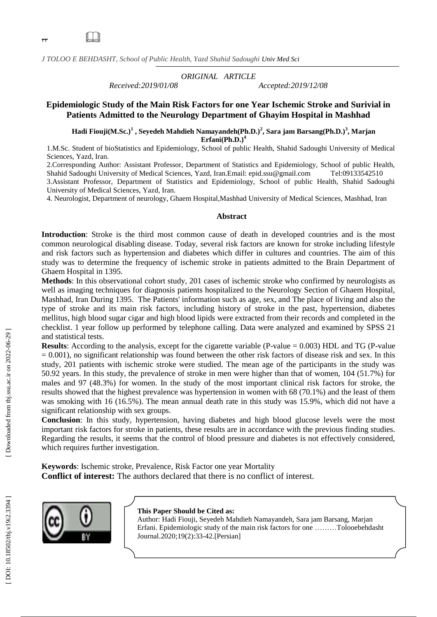yy

 $\Box$ 

*J TOLOO E BEHDASHT, School of Public Health , Yazd Shahid Sadoughi Univ Med Sci*

*Received:2019/0 1*

*ORIGINAL ARTICLE*

*/08 Accepted:2019/1 2/0 8*

## **Epidemiologic Study of the Main Risk Factors for one Year Ischemic Stroke and Surivial in Patients Admitted to the Neurology Department of Ghayim Hospital in Mashhad**

**Hadi Fiouji(M.Sc.) 1 , Seyedeh Mahdieh Namayandeh(Ph.D.) 2 , Sara jam Barsang(Ph.D.) 3 , Marjan Erfani(Ph.D.) 4**

1 .M.Sc. Student of bioStatistics and Epidemiology, School of public Health, Shahid Sadoughi University of Medical Sciences, Yazd, Iran.

2.Corresponding Author: Assistant Professor, Department of Statistics and Epidemiology, School of public Health, Shahid Sadoughi University of Medical Sciences, Yazd, Iran.Email: [epid.ssu@gmail.com](mailto:epid.ssu@gmail.com) Tel:09133542510

3.Assistant Professor, Department of Statistics and Epidemiology, School of public Health, Shahid Sadoughi University of Medical Sciences, Yazd, Iran.

4. Neurologist , Department of neurology, Ghaem Hospital,Mashhad University of Medical Sciences, Mashhad, Iran

#### **Abstract**

**Introduction**: Stroke is the third most common cause of death in developed countries and is the most common neurological disabling disease. Today, several risk factors are known for stroke including lifestyle and risk factors such as hypertension and diabetes which differ in cultures and countries. The aim of this study was to determine the frequency of ischemic stroke in patients admitted to the Brain Department of Ghaem Hospital in 1395.

**Methods**: In this observational cohort study, 201 cases of ischemic stroke who confirmed by neurologists as well as imaging techniques for diagnosis patients hospitalized to the Neurology Section of Ghaem Hospital, Mashhad, Iran During 1395. The Patients' information such as age, sex, and The place of living and also the type of stroke and its main risk factors, including history of stroke in the past, hypertension, diabetes mellitus, high blood sugar cigar and high blood lipids were extracted from their records and completed in the checklist. 1 year follow up performed by telephone calling. Data were analyzed and examined by SPSS 21 and statistical tests.

**Results**: According to the analysis, except for the cigarette variable ( $P$ -value  $= 0.003$ ) HDL and TG ( $P$ -value  $= 0.001$ ), no significant relationship was found between the other risk factors of disease risk and sex. In this study, 201 patients with ischemic stroke were studied. The mean age of the participants in the study was 50.92 years. In this study, the prevalence of stroke in men were higher than that of women, 104 (51.7%) for males and 97 (48.3%) for women. In the study of the most important clinical risk factors for stroke, the results showed that the highest prevalence was hypertension in women with 68 (70.1%) and the least of them was smoking with 16 (16.5%). The mean annual death rate in this study was 15.9%, which did not have a significant relationship with sex groups.

**Conclusion**: In this study, hypertension, having diabetes and high blood glucose levels were the most important risk factors for stroke in patients, these results are in accordance with the previous finding studies. Regarding the results, it seems that the control of blood pressure and diabetes is not effectively considered, which requires further investigation.

**Keywords**: Ischemic stroke, Prevalence, Risk Factor one year Mortality **Conflict of interest:** The authors declared that there is no conflict of interest.



#### **This Paper Should be Cited as:**

Author : Hadi Fiouji, Seyedeh Mahdieh Namayandeh, Sara jam Barsang, Marjan Erfani . Epidemiologic study of the main risk factors for one ………Tolooebehdasht Journal.2020;1 9 ( 2):33 -42.[Persian ]

[Downloaded from tbj.ssu.ac.ir on 2022-06-29]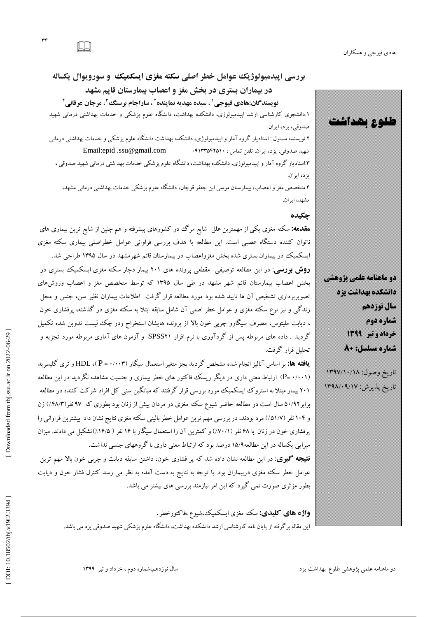**طلوع بهداشت** 



 $\Box$ 

# **بررسی اپیذهیولوژیک عواهل خطر اصلی سکته هغزی ایسکویک و سورویوال یکساله در بیواراى بستری در بخص هغز و اعصاب بیوارستاى قاین هشهذ**

**نویسندگان:هادی فیوجی ٰ ، سیده مهدیه نماینده ٔ ، ساراجام برسنگ<sup>ی ۳</sup> مرجان عرفانی ٔ <del>ٔ</del>** 

۱.دانشجوی کارشناسی ارشد اپیدمیولوژی، دانشکده بهداشت، دانشکاه علوم پزشکی و خدمات بهداشتی درمانی شهید صدوقى، یزد، ایران.

۲.نویسنده مسئول : استادیار کروه آمار و اپیدمیولوژی، دانشکده بهداشت دانشکاه علوم پزشکی و خدمات بهداشتی درمانی شَهید صدوقی، یزد، ایران. تلفن تماس : ۰۹۱۳۳۵۴۲۵۱۰ : Email:epid .ssu@gmail.com ۱.استادیار کروه آمار و اپیدمیولوژی، دانشکده بهداشت، دانشکاه علوم پزشکی خدمات بهداشتی درمانی شهید صدوقی ، یز د، ایران.

۴.متخصص مغز و اعصاب، بیمارستان موسی ابن جعفر قوچان، دانشكاه علوم پزشكی خدمات بهداشتی درمانی مشهد، مشهد، ایران.

## **چکیذه**

**مقدمه:** سکته مغزی یکی از مهمترین علل شایع مرگ در کشورهای پیشرفته و هم چنین از شایع ترین بیماری های ناتوان کننده دستگاه عصبی است. این مطالعه با هدف بررسی فراوانی عوامل خطراصلی بیماری سکته مغزی<br>ایسکمیکِ در بیماران بستری شده بخش مغزواعصاب در بیمارستان قائم شهرمشهد در سال ۱۳۹۵ طراحی شد. **روش بورسی**: در این مطالعه توصیفی ًمقطعی پرونده های ۲۰۱ بیمار دچار سکته مغزی ایسکمیک بستری در بخش اعصاب بیمارستان قائم شهر مشهد در طی سال ۱۳۹۵ که توسط متخصص مغز و اعصاب وروشهای نصویربرداری تشخیص آن ها تایید شده بود مورد مطالعه قرار گرفت اطلاعات بیماران نظیر سن، جنس و محل زند کی و نیز نوع سکته مغزی و عوامل خطر اصلی آن شامل سابقه ابتلا به سکته مغزی در کدشته، پرفشاری خون ، دیابت ملیتوس، مصرف سیگارو چربی خون بالا از پرونده هایشان استخراج ودر چک لیست تدوین شده تکمیل گردید . داده های مربوطه پس از گردآوری با نرم افزار SPSS۲۱ و آزمون های آماری مربوطه مورد تجزیه و<br>تحلیل قرار گرفت.

**یافته ها:** بر اساس آنالیز انجام شده مشخص گردید بجز متغیر استعمال سیگار (P = ۰/۰۰۳)، HDL و تری گلیسرید ( ۰/۰۰۱ -P) ارتباط معنی داری در دیگر ریسک فاکتور های خطر بیماری و جنسیت مشاهده نگردید در این مطالعه ۲۰۱ بیمار مبتلا به استروک ایسکمیک مورد بررسی قرار گرفتند که میانگین سنی کل افراد شرکت کننده در مطالعه برابر ۵۰/۹۲ سال است در مطالعه حاضر شیوع سکته مغزی در مردان بیش از زنان بود بطوری که ۹۷ نفر(۴۸/۳٪) زن و ۱۰۴ نفر (۵۱/۷٪) مرد بودند. در بررسی مهم ترین عوامل خطر بالینی سکته مغزی نتایج نشان داد بیشترین فراوانی را پرفشاری خون در زنان با ۶۸ نفر (۷۰/۱٪) و کمترین آن را استعمال سیکار با ۱۶ نفر ( ۱۶/۵٪)تشکیل می دادند. میزان میرایی یکساله در این مطالعه۱۵/۹ درصد بود که ارتباط معنی داری با کروههای جنسی نداشت. <mark>نتیجه گیوی</mark>: در این مطالعه نشان داده شد كه پر فشاری خون، داشتن سابقه دیابت و چربی خون بالا مهم ترین عوامل خطر سکته مغزی دربیماران بود. با توجه به نتایج به دست آمده به نظر می رسد کنترل فشار خون و دیابت

بطور مؤثری صورت نمی گیرد که این امر نیازمند بررسی های بیشتر می باشد.<br>**واژه های کلیدی:** سکته مغزی ایسکمیک،شیوع ،فاکتورخطر .<br>این مقاله برگرفته از پایان نامه کارشناسی ارشد دانشکده بهداشت، دانشگاه علوم پزشکی شهید صدوقی یزد می



تاریخ وصول: ۱۳۹۷/۱۰/۱۸ تاریخ پدیرش: ۱۳۹۸/۰۹/۱۷

 [\[ DOI: 10.18502/tbj.v19i2.3394 \]](http://dx.doi.org/10.18502/tbj.v19i2.3394) [\[ Downloaded from tbj.ssu.ac.ir on 2022-0](http://tbj.ssu.ac.ir/article-1-2870-fa.html)6-29 ] [Downloaded from tbj.ssu.ac.ir on 2022-06-29]

سال نوزدهم،شماره دوم، خرداد و تیر ۱۳۹۹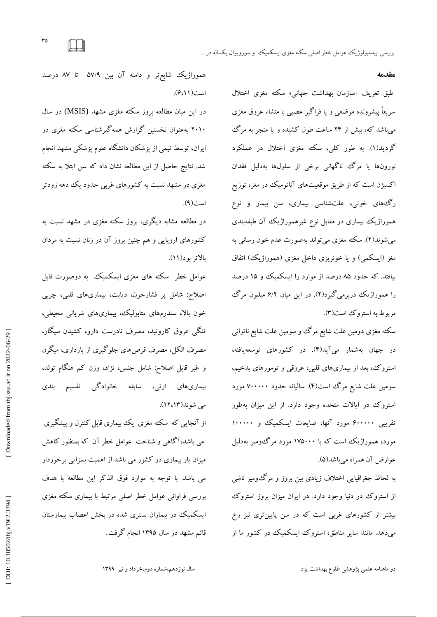**هقذهه**

طبق تعریف «سازمان بهداشت جهانی» سکته مغزی اختلال سریعاً پیشرونده موضعی و یا فراگیر عصبی با منشاء عروق مغزی میباشد که، بیش از ۲۴ ساعت طول کشیده و یا منجر به مرگ گردید(۱). به طور کلی، سکته مغزی اختلال در عملکرد ُورونها یا مرک ناکهانی برخی از سلولها بهدلیل فقدان اکسیژن است که از طریق موقعیتهای آناتومیک در مغز، توزیع ر گ@های خونی، علتشناسی بیماری، سن بیمار و نوع هموراژیک بیماری در مقابل نوع غیرهموراژیک آن طبقهبندی میشوند(۲). سکته مغزی می تواند بهصورت عدم خون رسانی به مغز (ایسکمی) و یا خونریزی داخل مغزی (هموراژیک) اتفاق بیافتد. که حدود ۸۵ درصد از موارد را ایسکمیک و ۱۵ درصد را هموراژیک دربرمی کیرد(۲). در این میان ۶/۲ میلیون مر ک مربوط به استرو ک است(۳).

سکته مغزی دومین علت شایع مرگ وو سومین علت شایع ناتوانی در جهان بهشمار می[ید(۴). در کشورهای توسعهیافته، استروک، بعد از بیماریهای قلبی، عروقی و تومورهای بدخیم، سومین علت شایع مر ک است(۴). سالیانه حدود ۷۰۰۰۰۰ مورد استروک در ایالات متحده وجود دارد. از این میزان بهطور تقریبی ۶۰۰۰۰۰ مورد آنها، ضایعات ایسکمیک و ۱۰۰۰۰۰ مورد، هموراژیک است که با ۱۷۵۰۰۰ مورد مرگ ومیر بهدلیل عوارض آن همراه میباشد(۵).

به لحاظ جغرافیایی اختلاف زیادی بین بروز و مرگءومیر ناشی از استروک در دنیا وجود دارد. در ایران میزان بروز استروک بیشتر از كشورهای غربی است كه در سن پایینتری نیز رخ می دهد. مانند سایر مناطق، استروک ایسکمیک در کشور ما از

هموراژیک شایع تر و دامنه آن بین ۵۷/۹ تا ۸۷ درصد است (١١،٢).

در این میان مطالعه بروز سکته مغزی مشهد (MSIS) در سال ۲۰۱۰ به عنوان نخستین گزارش همهگیرشناسی سکته مغزی در ایران، توسط تیمی از پزشكان دانشگاه علوم پزشكی مشهد انجام شد. نتایج حاصل از این مطالعه نشان داد که سن ابتلا به سکته مغزی در مشهد نسبت به كشورهای غربی حدود یك دهه زودتر است(۹).

در مطالعه مشابه دیگری، بروز سکته مغزی در مشهد نسبت به كشورهاى ارويايى و هم چنين بروز آن در زنان نسبت به مردان بالاتر بود(۱۱).

عوامل خطر ًسکته های مغزی ایسکمیک به دوصورت قابل اصلاح: شامل پر فشارخون، دیابت، بیماریهای قلبی، چربی خون بالا، سندرمهای متابولیک، بیماریهای شریانی محیطی، تنگی عروق کاروتید، مصرف نادرست دارو، کشیدن سیگار، مصرف الکل، مصرف قرصهای جلوگیری از بارداری، میگرن و غیر قابل اصلاح: شامل جنس، نژاد، وزن کم هنگام تولد، تنکی عروق کاروتید، مصرف نادرست دارو، کشیدن سیکار،<br>مصرف الکل، مصرف قرص۵ای جلوگیری از بارداری، میگرن<br>و غیر قابل اصلاح: شامل جنس، نژاد، وزن کم هنگام تولد،<br>بیماری۵ای ارثی، سابقه خانوادگی تقسیم بندی<br>می شوند(۱۲،۱۳).<br>می باشد،آگا می شوند(۱۲،۱۳).

از آنجایی که سکته مغزی یک بیماری قابل کنترل و پیشگیری می باشد،آگاهی و شناخت عوامل خطر آن که بمنظور کاهش میزان بار بیماری در كشور می باشد از اهمیت بسزایی برخوردار می باشد. با توجه به موارد فوق الذکر این مطالعه با هدف بررسی فراوانی عوامل خطر اصلی مرتبط با بیماری سکته مغزی ایسکمیک در بیماران بستری شده در بخش اعصاب بیمارستان<br>قائم مشهد در سال ۱۳۹۵ انجام گرفت.

دو ماهنامه علمی پژوهشی طلوع بهداشت یزد

سال نوزدهم،شماره دوم،خرداد و تیر ۱۳۹۹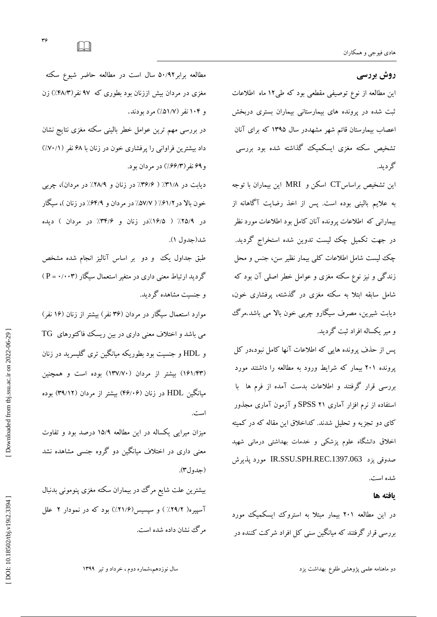## **روش بررسی**

این مطالعه از نوع توصیفی مقطعی بود که طی1۲ ماه اطلاعات ثبت شده در پرونده هاى بیمارستانی بیماران بسترى دربخش اعصاب بیمارستان قائم شهر مشهددر سال ۱۳۹۵ که برای آنان تشخیص سکته مغزی ایسکمیک گذاشته شده بود بررسی<br>گردید.

این تشخیص براساس $\rm CT$  اسكن و  $\rm MRI$  این بیماران با توجه به علایم بالینی بوده است. پس از اخذ رضایت آگاهانه از بیمارانی که اطلاعات پرونده آنان کامل بود اطلاعات مورد نظر<br>در جهت تکمیل چک لیست تدوین شده استخراج گردید. چک لیست شامل اطلاعات کلی بیمار نظیر سن، جنس و محل زند کی و نیز نوع سکته مغزی و عوامل خطر اصلی آن بود که شامل سابقه ابتلا بِه سکته مغزی در گذشته، پرفشاری خون، دیابت شیرین، مصرف سیگارو چربی خون بالا می باشد.مرگ و میر یکساله افراد ثبت گردید.

یس از حذف پرونده هایی که اطلاعات آنها کامل نبود،در کل پرونده ۲۰۱ بیمار که شرایط ورود به مطالعه را داشتند مورد بررسی قرار گرفتند و اطلاعات بدست آمده از فرم ها با ستفاده از نرم افزار آماری SPSS ۲۱ و آزمون آماری مجذور کای دو تجزیه و تحلیل شدند. کداخلاق این مقاله که در کمیته اخلاق دانشگاه علوم پزشکی و خدمات بهداشتی درمانی شهید صدوقی یزد IR.SSU.SPH.REC.1397.063 مورد پذیرش شده است.

#### **یافته ها**

در این مطالعه ۲۰۱ بیمار مبتلا به استروک ایسکمیک مورد بررسی قرار گرفتند که میانگین سنی کل افراد شرکت کننده در

مطالعه برابر۵۰/۹۲ سال است در مطالعه حاضر شیوع سکته مغزی در مردان بیش اززنان بود بطوری که ۹۷ نفر(۲۸/۳٪) زن<br>و ۱۰۴ نفر (۵۱/۷٪) مرد بودند.

در بررسی مهم ترین عوامل خطر بالینی سکته مغزی نتایج نشان داد بیشترین فراوانی را پرفشاری خون در زنان با ۶۸ نفر (۷۰/۱٪) و ۶۹ نفر (۶۶/۳٪) در مردان بود.

دیابت در ۳۱/۸٪ ( ۳۶/۶٪ در زنان و ۲۸/۹٪ در مردان)، چربی خون بالا در ۶۱/۲٪ ( ۵۷/۷٪ در مردان و ۴/۹٪ در زنان )، سیکار در ۹/۲۵/۹ ( ۱۶/۵/در زنان و ۳۴/۶٪ در مردان ) دیده شد(جدول ۱).

طبق جداول یک و دو بر اساس آنالیز انجام شده مشخص گردید ارتباط معنی داری در متغیر استعمال سیگار (P = ۰/۰۰۳) و حنست مشاهده گردید.

موارد استعمال سیگار در مردان (۳۶ نفر) بیشتر از زنان (۱۶ نفر) هی باشد و اختلاف معنی داری در بین ریسک فاکتورهای  $\rm TG$ و HDL و جنسیت بود بطوریکه میانگین تری گلیسرید در زنان (۱۶۱/۴۳) بیشتر از مردان (۱۳۷/۷۰) بوده است و همچنین میانگین HDL در زنان (۴۶/۰۶) بیشتر از مردان (۳۹/۱۲) بوده است.

میزان میرایی یکساله در این مطالعه ۱۵/۹ درصد بود و تفاوت معنی داری در اختلاف میانگین دو گروه جنسی مشاهده نشد (جدول٣).

بیشترین علت شایع مرگ در بیماران سکته مغزی پنومونی بدنبال اسپیره( ۲۹/۲٪ ) و سپسیس(۲۱/۶٪) بود که در نمودار ۲ علل مركَ نشان داده شده است.

سال نوزدهم،شماره دوم ، خرداد و تیر ۱۳۹۹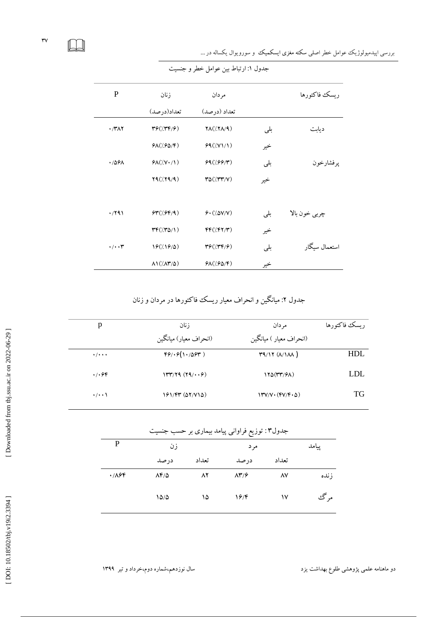LU

 $\mathsf{rv}$ 

بررسی اپیدمیولوژیک عوامل خطر اصلی سکته مغزی ایسکمیک و سورویوال یکساله در ...

| $\mathbf P$          | زنان                                        | مردان                                                                                                                                                                                                                                                                                                                                                                                                                   |     | ريسك فاكتورها |
|----------------------|---------------------------------------------|-------------------------------------------------------------------------------------------------------------------------------------------------------------------------------------------------------------------------------------------------------------------------------------------------------------------------------------------------------------------------------------------------------------------------|-----|---------------|
|                      | تعداد(درصد)                                 | تعداد (درصد)                                                                                                                                                                                                                                                                                                                                                                                                            |     |               |
| $\cdot$ /۳۸۲         | $\mathbf{r} \mathbf{r}(\mathbf{r})$         | $\mathsf{YA}(\mathsf{X}\mathsf{X}/\mathsf{A})$                                                                                                                                                                                                                                                                                                                                                                          | بلى | ديابت         |
|                      | $P\Lambda(\frac{1}{2}P\Delta/\mathfrak{F})$ | 99(7Y)/1)                                                                                                                                                                                                                                                                                                                                                                                                               | خير |               |
| $\cdot$ /561         | $P\Lambda(Y,Y\cdot/Y)$                      | 99(199/7)                                                                                                                                                                                                                                                                                                                                                                                                               | بلى | يرفشارخون     |
|                      | Y4//Y4/4)                                   | $\mathsf{r}\Delta(\mathsf{X}\mathsf{Y}\mathsf{Y}\mathsf{Y})$                                                                                                                                                                                                                                                                                                                                                            | خير |               |
|                      |                                             |                                                                                                                                                                                                                                                                                                                                                                                                                         |     |               |
| $\cdot$ /29)         | \$Y'(0,99/9)                                | 9.700                                                                                                                                                                                                                                                                                                                                                                                                                   | بلى | چربي خون بالا |
|                      | $rr/(r\Delta/\mathcal{L})$                  | $FF(\frac{\gamma}{\gamma})$                                                                                                                                                                                                                                                                                                                                                                                             | خير |               |
| $\cdot/\cdot\cdot$ ۳ | 19(719/0)                                   | $\mathbf{Y} \mathcal{G} \left( \mathbf{X} \mathbf{Y} \mathbf{Y} \mathbf{Y} \mathbf{Y} \mathbf{Y} \mathbf{Y} \mathbf{Y} \mathbf{Y} \mathbf{Y} \mathbf{Y} \mathbf{Y} \mathbf{Y} \mathbf{Y} \mathbf{Y} \mathbf{Y} \mathbf{Y} \mathbf{Y} \mathbf{Y} \mathbf{Y} \mathbf{Y} \mathbf{Y} \mathbf{Y} \mathbf{Y} \mathbf{Y} \mathbf{Y} \mathbf{Y} \mathbf{Y} \mathbf{Y} \mathbf{Y} \mathbf{Y} \mathbf{Y} \mathbf{Y} \mathbf{Y} \$ | بلى | استعمال سىگار |
|                      | $\Lambda$ 1( $\Lambda$ ۳/۵)                 | $P\Lambda(\frac{1}{2}P\Delta/\mathfrak{F})$                                                                                                                                                                                                                                                                                                                                                                             | خير |               |

جدول ۱: ارتباط بین عوامل خطر و جنسیت

جدول ۲: میانگین و انحراف معیار ریسک فا کتورها در مردان و زنان

| p                                 | ز نان                  | مر دان                                                                                         | ريسك فاكتورها |
|-----------------------------------|------------------------|------------------------------------------------------------------------------------------------|---------------|
|                                   | (انحراف معیار) میانگین | (انحراف معیار ) میانگین                                                                        |               |
| $\frac{1}{2}$                     | 99/19(11/094)          | T9/17 (A/1)                                                                                    | HDL           |
| $\cdot$ / $\cdot$ $\circ$ $\circ$ | 1447/79 (19/1.6)       | 120(TT/SA)                                                                                     | LDL           |
| $\cdot/\cdot\cdot$                | 161/44 (52/715)        | $\langle \uparrow \uparrow \lor \lor \cdot (\uparrow \lor \lor \uparrow \cdot \Delta) \rangle$ | TG.           |

| جدول۳: توزیع فراوانی پیامد بیماری بر حسب جنسیت |                    |       |                        |       |       |
|------------------------------------------------|--------------------|-------|------------------------|-------|-------|
| P                                              | زن                 |       | مر د                   |       | پيامد |
|                                                | در صد              | تعداد | در صد                  | تعداد |       |
| ۰/۸۶۴                                          | $\lambda f/\Delta$ | ۸۲    | $\Lambda^{\mu}/\gamma$ | ۸V    | ز نده |
|                                                | 10/0               | ۱۵    | ۱۶/۴                   | ۱۷    | مړ گئ |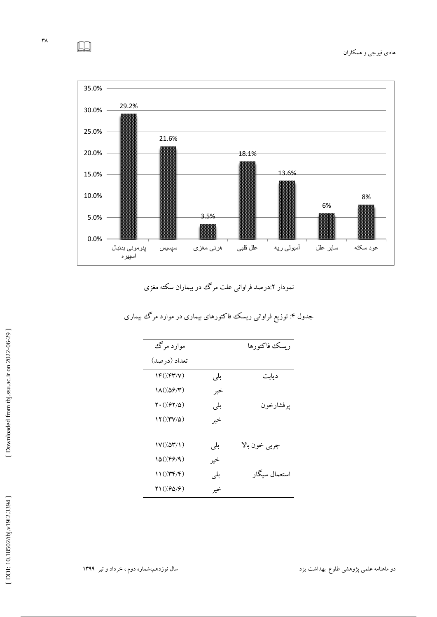

# نمودار ۲:درصد فراوانی علت مرک در بیماران سکته مغزی

| موارد مرگٹ                      |     | ربسك فاكتورها |
|---------------------------------|-----|---------------|
| تعداد (درصد)                    |     |               |
| 1F('/F۳/V)                      | بلى | ديابت         |
| (۱۸ (۱۵۶/۳)                     | خير |               |
| $Y \cdot (7.97/0)$              | بلی | ير فشارخون    |
| $\Upsilon(\mathcal{N}V/\Delta)$ | خير |               |
| $V(\Delta Y)\$                  | بلي | چربي خون بالا |
| 10(/۴۶/۹)                       | خير |               |
| 11(779)                         | بلي | استعمال سىگار |
| 11(1.9019)                      | خير |               |

# جدول ۴: تُوزیع فراوانی ریسک فا کتورهای بیماری در موارد مر ک بیماری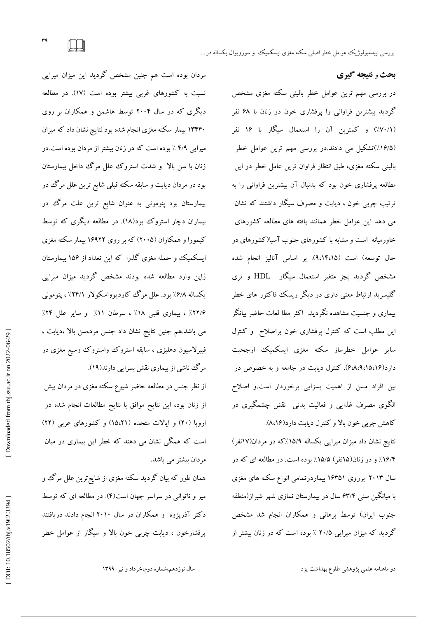**بحث** ٍ **نتیجه گیری**

در بررسی مهم ترین عوامل خطر بالینی سکته مغزی مشخص گردید بیشترین فراوانی را پرفشاری خون در زنان با ۶۸ نفر (٧٠/١٪) و کمترین آن را استعمال سیکار با ۱۶ نفر – ۱۳۴۴۰ بی (۱۶/۵٪)تشکیل می دادند.در بررسی مهم ترین عوامل خطر بالینی سكته مغزی، طبق انتظار فراوان ترین عامل خطر در این مطالعه پرفشاری خون بود که بدنبال آن بیشترین فراوانی را به نرتیب چربی خون ، دیابت و مصرف سیکار داشتند که نشان می دهد این عوامل خطر همانند یافته های مطالعه کشورهای خاورمیانه است و مشابه با كشورهای جنوب آسیا(كشورهای در حال توسعه) است (۹،۱۴،۱۵). بر اساس آنالیز انجام شده مشخص گردید بجز متغیر استعمال سیگار HDL و تری گلیسرید ارتباط معنی داری در دیگر ریسک فاکتور های خطر بیماری و جنسیت مشاهده نگردید. اکثر مطا لعات حاضر بیانگر این مطلب است كه كنترل پرفشاری خون براصلاح و كنترل سایر عوامل خطرساز سکته مغزی ایسکمیک ارجحیت دارد(۴،۸،۹،۱۵،۱۶). کُنتِرل دیابت در جامعه و به خصوص در بین افراد مسن از اهمیت بسزایی برخوردار است.و اصلاح الگوی مصرف غذایی و فعالیت بدنی ًنقش چشمگیری در کاهش چربی خون بالا و کنترل دیابت دارد(۸،۱۶).

> نتایج نشان داد میزان میرایی یکساله ۱۵/۹٪که در مردان(۱۷نفر) ۱۶/۴٪ و در زنان(۱۵نفر) ۱۵/۵٪ بوده است. در مطالعه ای که در سال ۲۰۱۳ برروی ۱۶۳۵۱ بیماردرتمامی انواع سکنه های مغزی با میانکین سنی ۶۳/۴ سال در بیمارستان نمازی شهر شیراز(منطقه جنوب ایران) توسط برهانی و همکاران انجام شد مشخص گردید که میزان میرایی ۳۰/۵ ٪ بوده است که در زنان بیشتر از

مردان بوده است هم چنین مشخص گردید این میزان میرایی نسبت به كشورهای غربی بیشتر بوده است (١٧). در مطالعه دیگری که در سال ۲۰۰۴ توسط هاشمن و همکاران بر روی ۱۳۴۴۰ بیمار سکته مغزی انجام شده بود نتایج نشان داد که میزان میرایی ۴/۹٪ بوده است که در زنان بیشتر از مردان بوده است.در زنان با سن بالا و شدت استروك علل مرگ داخل بیمارستان بود در مردان دیابت و سابقه سکته قبلی شایع ترین علل مرگ در بیمارستان بود پنومونی به عنوان شایع ترین علت مرگ در بیماران دچار استروک بود(۱۸). در مطالعه دیگری که توسط کیمورا و همکاران (۲۰۰۵) که بر روی ۱۶۹۲۲ بیمار سکته مغزی ایسکمیک و حمله مغزی گذرا که این تعداد از ۱۵۶ بیمارستان ژاپن وارد مطالعه شده بودند مشخص گردید میزان میرایی یکساله ۶/۸٪ بود. علل مرک کاردیوواسکولار ۲۴/۱٪ ، پنومونی ۱۲۲/۶٪ ، بیماری قلبی ۱۸٪ ، سرطان ۱۱٪ و سایر علل ۳۴٪ می باشد.هم چنین نتایج نشان داد جنس مرد،سن بالا ،دیابت ، فیبرلاسیون دهلیزی ، سابقه استروک واستروک وسیع مغزی در مرگ ناشی از بیماری نقش بسزایی دارند(۱۹).

از نظر جنس در مطالعه حاضر شیوع سکته مغزی در مردان بیش از زنان بود، این نتایج موافق با نتایج مطالعات انجام شده در اروپا (۲۰) و ایالات متحده (۱۵،۲۱) و کشورهای عربی (۲۲) است که همگی نشان می دهند که خطر این بیماری در میان<br>مردان بیشتر می باشد.

همان طور که بیان گردید سکته مغزی از شایع ترین علل مرگ و میر و ناتوانی در سراسر جهان است(۴). در مطالعه ای که توسط دکتر آذرپژوه و همکاران در سال ۲۰۱۰ انجام دادند دریافتند پرفشارخون ، دیابت چربی خون بالا و سیگار از عوامل خطر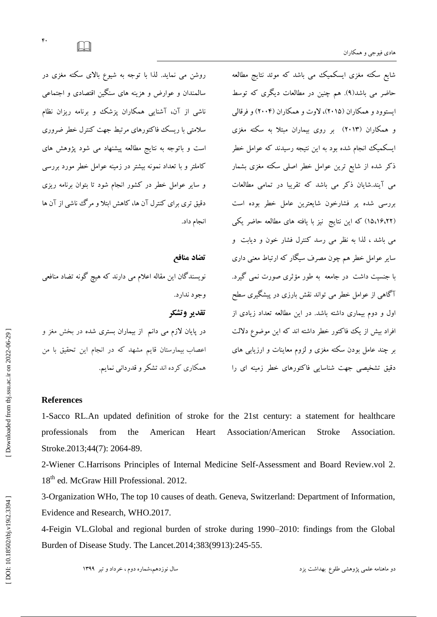شایع سکته مغزی ایسکمیک می باشد که موئد نتایج مطالعه حاضر می باشد(۹). هم چنین در مطالعات دیگری که توسط ایستوود و همکاران (۲۰۱۵)، لاوت و همکاران (۲۰۰۴) و فرقالی و همکاران (۲۰۱۳) بر روی بیماران مبتلا به سکته مغزی ایسکمیک انجام شده بود به این نتیجه رسیدند که عوامل خطر ذکر شده از شایع ترین عوامل خطر اصلی سکته مغزی بشمار می آیند.شایان ذکر می باشد که تقریبا در تمامی مطالعات بررسی شده پر فشارخون شایعترین عامل خطر بوده است (۱۵،۱۶،۲۲) که این نتایج ً نیز با یافته های مطالعه حاضر یکی می باشد ، لَدًا به نظر می رسد کُنترل فشار خُون و دیابت ً و سایر عوامل خطر هم چون مصرف سیگار که ارتباط معنی داری با جنسیت داشت ً در جامعه به طور مؤثری صورت نمبی گیرد. آگاهی از عوامل خطر می تواند نقش بارزی در پیشگیری سطح اول و دوم بیماری داشته باشد. در این مطالعه تعداد زیادی از افراد بیش از یک فاکتور خطر داشته اند که این موضوع دلالت بر چند عامل بودن سکته مغزی و لزوم معاینات و ارزیابی های دقیق تشخیصی جهت شناسایی فاكتورهای خطر زمینه ای را

# روشن می نماید. لذا با توجه به شیوع بالای سکته مغزی در سالمندان و عوارض و هزینه های سنگین اقتصادی و اجتماعی ناشی از آن، آشنایی همکاران پزشک و برنامه ریزان نظام سلامتی با ریسک فاکتورهای مرتبط جهت کنترل خطر ضروری است و باتوجه به نتایج مطالعه پیشنهاد می شود پژوهش های كاملتر و با تعداد نمونه بیشتر در زمینه عوامل خطر مورد بررسی و سایر عوامل خطر در كشور انجام شود تا بتوان برنامه ریزی دقیق تری برای کنترل آن ها، کاهش ابتلا و مرگ ناشی از آن ها انجام داد.

**تضاد هنافع**  نویسندگان این مقاله اعلام می دارند که هیچ گونه تضاد منافعی وجود ندارد. **تقذیر وتشکر** در پایان لازم می دانم از بیماران بستری شده در بخش مغز و اعصاب بیمارستان قایم مشهد كه در انجام این تحقیق با من<br>همكاری كرده اند تشكر و قدردانی نمایم.

### **References**

1-Sacco RL .An updated definition of stroke for the 21st century: a statement for healthcare professionals from the American Heart Association/American Stroke Association. Stroke.2013;44(7): 2064-89.

2 -Wiener C .Harrisons Principles of Internal Medicine Self -Assessment and Board Review.vol 2. 18<sup>th</sup> ed. McGraw Hill Professional. 2012.

3 -Organization WHo, The top 10 causes of death. Geneva, Switzerland: Department of Information, Evidence and Research, WHO.2017.

4-Feigin VL.Global and regional burden of stroke during 1990 –2010: findings from the Global Burden of Disease Study. The Lancet.2014 ;383(9913) :245 -55.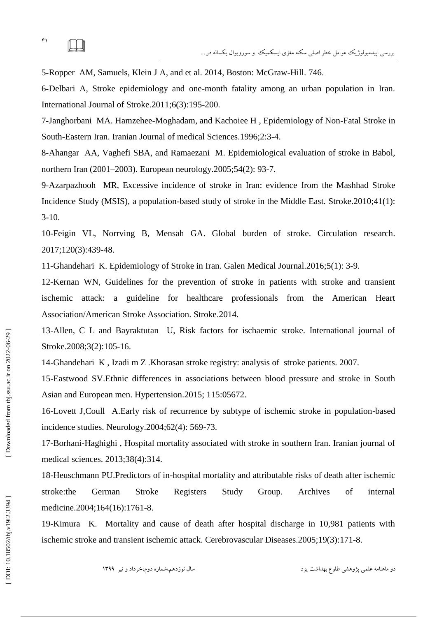$\Box$ 

5 -Ropper AM, Samuels, Klein J A, and et al. 2014, Boston: McGraw -Hill. 746.

6 -Delbari A, Stroke epidemiology and one -month fatality among an urban population in Iran. International Journal of Stroke .2011 ;6(3) :195 -200.

7 -Janghorbani MA. Hamzehee -Moghadam, and Kachoiee H , Epidemiology of Non -Fatal Stroke in South-Eastern Iran. Iranian Journal of medical Sciences.1996;2:3-4.

8 -Ahangar AA, Vaghefi SBA, and Ramaezani M . Epidemiological evaluation of stroke in Babol, northern Iran (2001 –2003). European neurology.2005 ;54(2): 93 -7.

9 -Azarpazhooh MR, Excessive incidence of stroke in Iran: evidence from the Mashhad Stroke Incidence Study (MSIS), a population -based study of stroke in the Middle East. Stroke.2010 ;41(1) : 3 -10.

10 -Feigin VL, Norrving B, Mensah GA . Global burden of stroke. Circulation research. 2017 ;120(3) :439 -48.

11-Ghandehari K. Epidemiology of Stroke in Iran. Galen Medical Journal.2016;5(1): 3-9.

12 -Kernan WN, Guidelines for the prevention of stroke in patients with stroke and transient ischemic attack: a guideline for healthcare professionals from the American Heart Association/American Stroke Association. Stroke .2014.

13 -Allen, C L and Bayraktutan U, Risk factors for ischaemic stroke. International journal of Stroke.2008;3(2):105-16.

14 -Ghandehari K , Izadi m Z .Khorasan stroke registry: analysis of stroke patients. 2007.

15 -Eastwood SV .Ethnic differences in associations between blood pressure and stroke in South Asian and European men. Hypertension .2015 ; 115 :05672.

16 -Lovett J,Coull A .Early risk of recurrence by subtype of ischemic stroke in population -based incidence studies. Neurology.2004 ;62(4): 569 -73.

17 -Borhani -Haghighi , Hospital mortality associated with stroke in southern Iran. Iranian journal of medical sciences. 2013 ;38(4) :314.

18 -Heuschmann PU .Predictors of in -hospital mortality and attributable risks of death after ischemic stroke:the German Stroke Registers Study Group. Archives of internal medicine.2004;164(16):1761-8.

19 -Kimura K . Mortality and cause of death after hospital discharge in 10,981 patients with ischemic stroke and transient ischemic attack. Cerebrovascular Diseases.2005;19(3) :171 -8.